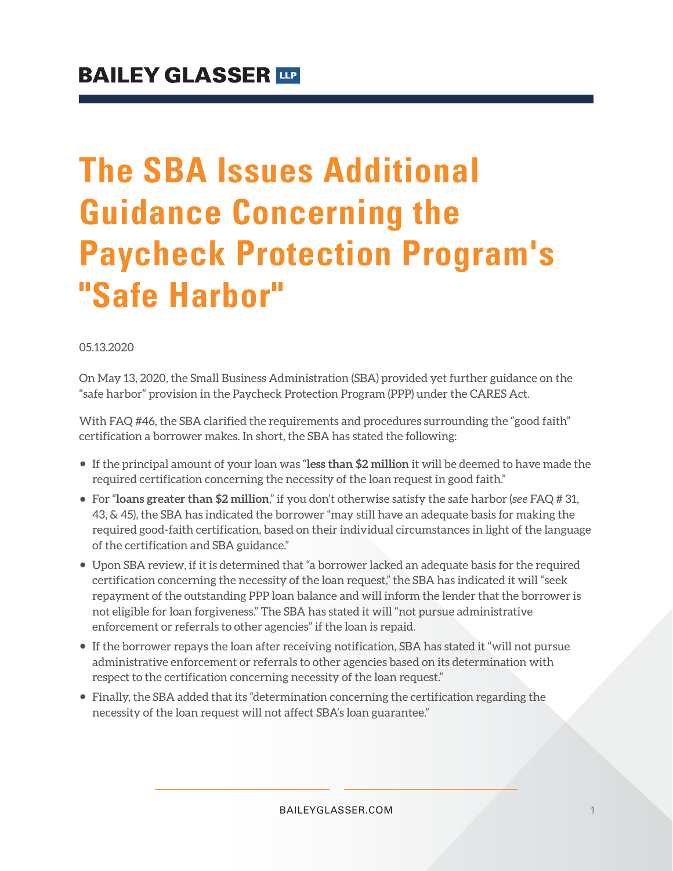# **The SBA Issues Additional Guidance Concerning the Paycheck Protection Program's "Safe Harbor"**

#### 05.13.2020

On May 13, 2020, the Small Business Administration (SBA) provided yet further guidance on the "safe harbor" provision in the Paycheck Protection Program (PPP) under the CARES Act.

With FAQ #46, the SBA clarified the requirements and procedures surrounding the "good faith" certification a borrower makes. In short, the SBA has stated the following:

- If the principal amount of your loan was "**less than \$2 million** it will be deemed to have made the required certification concerning the necessity of the loan request in good faith."
- For "**loans greater than \$2 million**," if you don't otherwise satisfy the safe harbor (*see* FAQ # 31, 43, & 45), the SBA has indicated the borrower "may still have an adequate basis for making the required good-faith certification, based on their individual circumstances in light of the language of the certification and SBA guidance."
- Upon SBA review, if it is determined that "a borrower lacked an adequate basis for the required certification concerning the necessity of the loan request," the SBA has indicated it will "seek repayment of the outstanding PPP loan balance and will inform the lender that the borrower is not eligible for loan forgiveness." The SBA has stated it will "not pursue administrative enforcement or referrals to other agencies" if the loan is repaid.
- If the borrower repays the loan after receiving notification, SBA has stated it "will not pursue administrative enforcement or referrals to other agencies based on its determination with respect to the certification concerning necessity of the loan request."
- Finally, the SBA added that its "determination concerning the certification regarding the necessity of the loan request will not affect SBA's loan guarantee."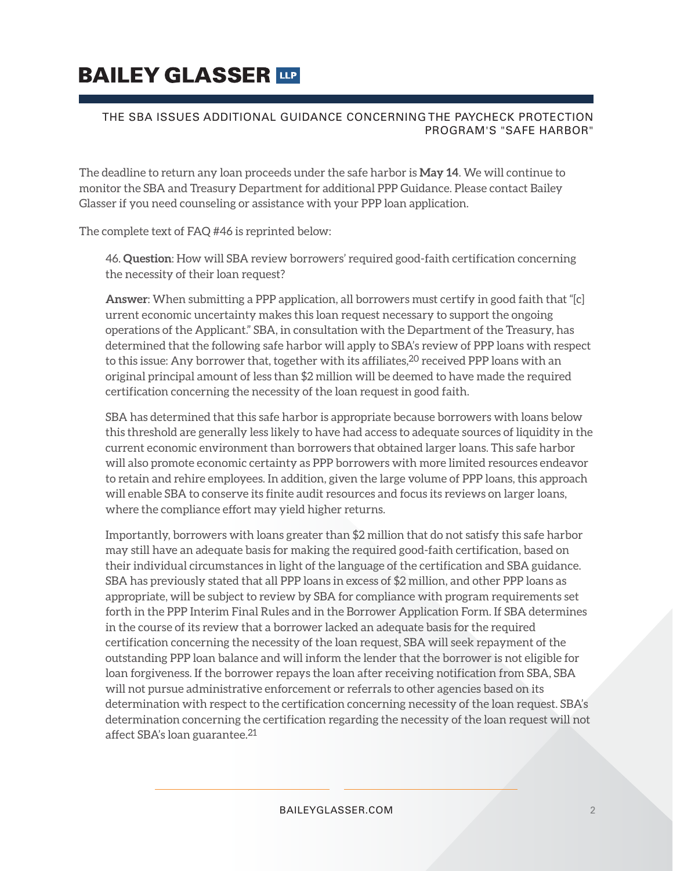## **BAILEY GLASSER TIP**

#### THE SBA ISSUES ADDITIONAL GUIDANCE CONCERNING THE PAYCHECK PROTECTION PROGRAM'S "SAFE HARBOR"

The deadline to return any loan proceeds under the safe harbor is **May 14**. We will continue to monitor the SBA and Treasury Department for additional PPP Guidance. Please contact Bailey Glasser if you need counseling or assistance with your PPP loan application.

The complete text of FAQ #46 is reprinted below:

46. **Question**: How will SBA review borrowers' required good-faith certification concerning the necessity of their loan request?

**Answer**: When submitting a PPP application, all borrowers must certify in good faith that "[c] urrent economic uncertainty makes this loan request necessary to support the ongoing operations of the Applicant." SBA, in consultation with the Department of the Treasury, has determined that the following safe harbor will apply to SBA's review of PPP loans with respect to this issue: Any borrower that, together with its affiliates, $^{20}$  received PPP loans with an original principal amount of less than \$2 million will be deemed to have made the required certification concerning the necessity of the loan request in good faith.

SBA has determined that this safe harbor is appropriate because borrowers with loans below this threshold are generally less likely to have had access to adequate sources of liquidity in the current economic environment than borrowers that obtained larger loans. This safe harbor will also promote economic certainty as PPP borrowers with more limited resources endeavor to retain and rehire employees. In addition, given the large volume of PPP loans, this approach will enable SBA to conserve its finite audit resources and focus its reviews on larger loans, where the compliance effort may yield higher returns.

Importantly, borrowers with loans greater than \$2 million that do not satisfy this safe harbor may still have an adequate basis for making the required good-faith certification, based on their individual circumstances in light of the language of the certification and SBA guidance. SBA has previously stated that all PPP loans in excess of \$2 million, and other PPP loans as appropriate, will be subject to review by SBA for compliance with program requirements set forth in the PPP Interim Final Rules and in the Borrower Application Form. If SBA determines in the course of its review that a borrower lacked an adequate basis for the required certification concerning the necessity of the loan request, SBA will seek repayment of the outstanding PPP loan balance and will inform the lender that the borrower is not eligible for loan forgiveness. If the borrower repays the loan after receiving notification from SBA, SBA will not pursue administrative enforcement or referrals to other agencies based on its determination with respect to the certification concerning necessity of the loan request. SBA's determination concerning the certification regarding the necessity of the loan request will not affect SBA's loan guarantee.<sup>21</sup>